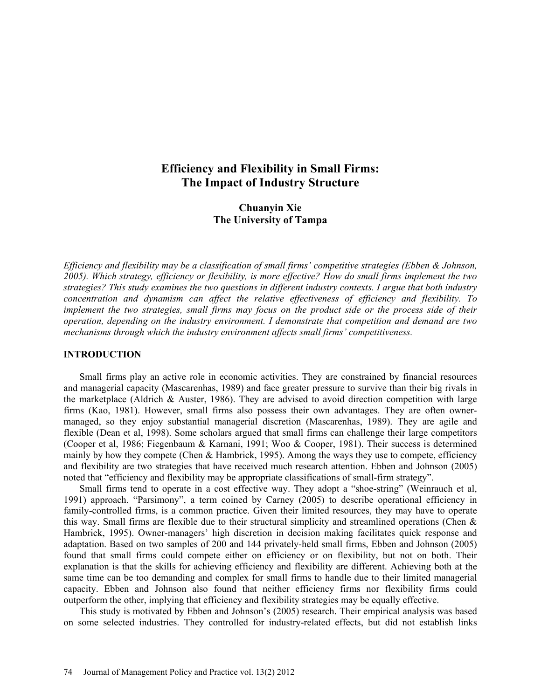# **Efficiency and Flexibility in Small Firms: The Impact of Industry Structure**

## **Chuanyin Xie The University of Tampa**

*Efficiency and flexibility may be a classification of small firms' competitive strategies (Ebben & Johnson, 2005). Which strategy, efficiency or flexibility, is more effective? How do small firms implement the two strategies? This study examines the two questions in different industry contexts. I argue that both industry concentration and dynamism can affect the relative effectiveness of efficiency and flexibility. To implement the two strategies, small firms may focus on the product side or the process side of their operation, depending on the industry environment. I demonstrate that competition and demand are two mechanisms through which the industry environment affects small firms' competitiveness.* 

#### **INTRODUCTION**

Small firms play an active role in economic activities. They are constrained by financial resources and managerial capacity (Mascarenhas, 1989) and face greater pressure to survive than their big rivals in the marketplace (Aldrich & Auster, 1986). They are advised to avoid direction competition with large firms (Kao, 1981). However, small firms also possess their own advantages. They are often ownermanaged, so they enjoy substantial managerial discretion (Mascarenhas, 1989). They are agile and flexible (Dean et al, 1998). Some scholars argued that small firms can challenge their large competitors (Cooper et al, 1986; Fiegenbaum & Karnani, 1991; Woo & Cooper, 1981). Their success is determined mainly by how they compete (Chen  $\&$  Hambrick, 1995). Among the ways they use to compete, efficiency and flexibility are two strategies that have received much research attention. Ebben and Johnson (2005) noted that "efficiency and flexibility may be appropriate classifications of small-firm strategy".

Small firms tend to operate in a cost effective way. They adopt a "shoe-string" (Weinrauch et al, 1991) approach. "Parsimony", a term coined by Carney (2005) to describe operational efficiency in family-controlled firms, is a common practice. Given their limited resources, they may have to operate this way. Small firms are flexible due to their structural simplicity and streamlined operations (Chen & Hambrick, 1995). Owner-managers' high discretion in decision making facilitates quick response and adaptation. Based on two samples of 200 and 144 privately-held small firms, Ebben and Johnson (2005) found that small firms could compete either on efficiency or on flexibility, but not on both. Their explanation is that the skills for achieving efficiency and flexibility are different. Achieving both at the same time can be too demanding and complex for small firms to handle due to their limited managerial capacity. Ebben and Johnson also found that neither efficiency firms nor flexibility firms could outperform the other, implying that efficiency and flexibility strategies may be equally effective.

This study is motivated by Ebben and Johnson's (2005) research. Their empirical analysis was based on some selected industries. They controlled for industry-related effects, but did not establish links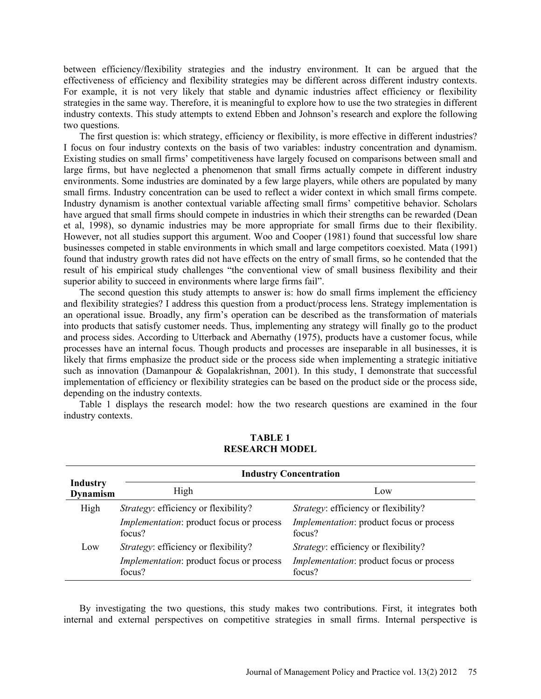between efficiency/flexibility strategies and the industry environment. It can be argued that the effectiveness of efficiency and flexibility strategies may be different across different industry contexts. For example, it is not very likely that stable and dynamic industries affect efficiency or flexibility strategies in the same way. Therefore, it is meaningful to explore how to use the two strategies in different industry contexts. This study attempts to extend Ebben and Johnson's research and explore the following two questions.

The first question is: which strategy, efficiency or flexibility, is more effective in different industries? I focus on four industry contexts on the basis of two variables: industry concentration and dynamism. Existing studies on small firms' competitiveness have largely focused on comparisons between small and large firms, but have neglected a phenomenon that small firms actually compete in different industry environments. Some industries are dominated by a few large players, while others are populated by many small firms. Industry concentration can be used to reflect a wider context in which small firms compete. Industry dynamism is another contextual variable affecting small firms' competitive behavior. Scholars have argued that small firms should compete in industries in which their strengths can be rewarded (Dean et al, 1998), so dynamic industries may be more appropriate for small firms due to their flexibility. However, not all studies support this argument. Woo and Cooper (1981) found that successful low share businesses competed in stable environments in which small and large competitors coexisted. Mata (1991) found that industry growth rates did not have effects on the entry of small firms, so he contended that the result of his empirical study challenges "the conventional view of small business flexibility and their superior ability to succeed in environments where large firms fail".

The second question this study attempts to answer is: how do small firms implement the efficiency and flexibility strategies? I address this question from a product/process lens. Strategy implementation is an operational issue. Broadly, any firm's operation can be described as the transformation of materials into products that satisfy customer needs. Thus, implementing any strategy will finally go to the product and process sides. According to Utterback and Abernathy (1975), products have a customer focus, while processes have an internal focus. Though products and processes are inseparable in all businesses, it is likely that firms emphasize the product side or the process side when implementing a strategic initiative such as innovation (Damanpour & Gopalakrishnan, 2001). In this study, I demonstrate that successful implementation of efficiency or flexibility strategies can be based on the product side or the process side, depending on the industry contexts.

Table 1 displays the research model: how the two research questions are examined in the four industry contexts.

|                                    | <b>Industry Concentration</b>                      |                                                           |
|------------------------------------|----------------------------------------------------|-----------------------------------------------------------|
| <b>Industry</b><br><b>Dynamism</b> | High                                               | Low                                                       |
| High                               | <i>Strategy:</i> efficiency or flexibility?        | <i>Strategy:</i> efficiency or flexibility?               |
|                                    | Implementation: product focus or process<br>focus? | <i>Implementation:</i> product focus or process<br>focus? |
| Low                                | <i>Strategy:</i> efficiency or flexibility?        | Strategy: efficiency or flexibility?                      |
|                                    | Implementation: product focus or process<br>focus? | <i>Implementation:</i> product focus or process<br>focus? |

### **TABLE 1 RESEARCH MODEL**

By investigating the two questions, this study makes two contributions. First, it integrates both internal and external perspectives on competitive strategies in small firms. Internal perspective is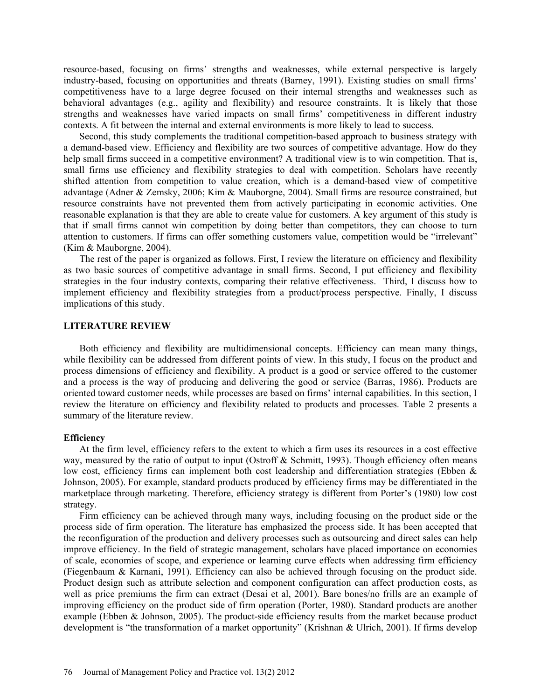resource-based, focusing on firms' strengths and weaknesses, while external perspective is largely industry-based, focusing on opportunities and threats (Barney, 1991). Existing studies on small firms' competitiveness have to a large degree focused on their internal strengths and weaknesses such as behavioral advantages (e.g., agility and flexibility) and resource constraints. It is likely that those strengths and weaknesses have varied impacts on small firms' competitiveness in different industry contexts. A fit between the internal and external environments is more likely to lead to success.

Second, this study complements the traditional competition-based approach to business strategy with a demand-based view. Efficiency and flexibility are two sources of competitive advantage. How do they help small firms succeed in a competitive environment? A traditional view is to win competition. That is, small firms use efficiency and flexibility strategies to deal with competition. Scholars have recently shifted attention from competition to value creation, which is a demand-based view of competitive advantage (Adner & Zemsky, 2006; Kim & Mauborgne, 2004). Small firms are resource constrained, but resource constraints have not prevented them from actively participating in economic activities. One reasonable explanation is that they are able to create value for customers. A key argument of this study is that if small firms cannot win competition by doing better than competitors, they can choose to turn attention to customers. If firms can offer something customers value, competition would be "irrelevant" (Kim & Mauborgne, 2004).

The rest of the paper is organized as follows. First, I review the literature on efficiency and flexibility as two basic sources of competitive advantage in small firms. Second, I put efficiency and flexibility strategies in the four industry contexts, comparing their relative effectiveness. Third, I discuss how to implement efficiency and flexibility strategies from a product/process perspective. Finally, I discuss implications of this study.

#### **LITERATURE REVIEW**

Both efficiency and flexibility are multidimensional concepts. Efficiency can mean many things, while flexibility can be addressed from different points of view. In this study, I focus on the product and process dimensions of efficiency and flexibility. A product is a good or service offered to the customer and a process is the way of producing and delivering the good or service (Barras, 1986). Products are oriented toward customer needs, while processes are based on firms' internal capabilities. In this section, I review the literature on efficiency and flexibility related to products and processes. Table 2 presents a summary of the literature review.

#### **Efficiency**

At the firm level, efficiency refers to the extent to which a firm uses its resources in a cost effective way, measured by the ratio of output to input (Ostroff & Schmitt, 1993). Though efficiency often means low cost, efficiency firms can implement both cost leadership and differentiation strategies (Ebben & Johnson, 2005). For example, standard products produced by efficiency firms may be differentiated in the marketplace through marketing. Therefore, efficiency strategy is different from Porter's (1980) low cost strategy.

Firm efficiency can be achieved through many ways, including focusing on the product side or the process side of firm operation. The literature has emphasized the process side. It has been accepted that the reconfiguration of the production and delivery processes such as outsourcing and direct sales can help improve efficiency. In the field of strategic management, scholars have placed importance on economies of scale, economies of scope, and experience or learning curve effects when addressing firm efficiency (Fiegenbaum & Karnani, 1991). Efficiency can also be achieved through focusing on the product side. Product design such as attribute selection and component configuration can affect production costs, as well as price premiums the firm can extract (Desai et al, 2001). Bare bones/no frills are an example of improving efficiency on the product side of firm operation (Porter, 1980). Standard products are another example (Ebben & Johnson, 2005). The product-side efficiency results from the market because product development is "the transformation of a market opportunity" (Krishnan & Ulrich, 2001). If firms develop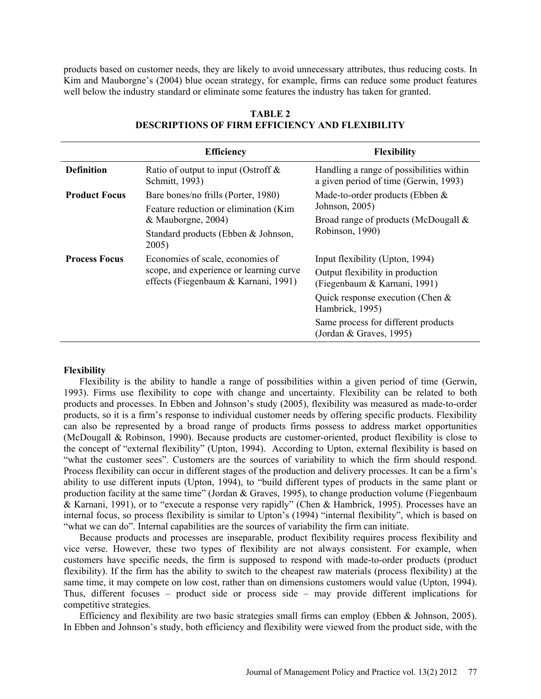products based on customer needs, they are likely to avoid unnecessary attributes, thus reducing costs. In Kim and Mauborgne's (2004) blue ocean strategy, for example, firms can reduce some product features well below the industry standard or eliminate some features the industry has taken for granted.

|                      | <b>Efficiency</b>                                                                                                   | <b>Flexibility</b>                                                                |
|----------------------|---------------------------------------------------------------------------------------------------------------------|-----------------------------------------------------------------------------------|
| <b>Definition</b>    | Ratio of output to input (Ostroff $\&$<br>Schmitt, 1993)                                                            | Handling a range of possibilities within<br>a given period of time (Gerwin, 1993) |
| <b>Product Focus</b> | Bare bones/no frills (Porter, 1980)<br>Feature reduction or elimination (Kim<br>& Mauborgne, 2004)                  | Made-to-order products (Ebben $&$<br>Johnson, 2005)                               |
|                      |                                                                                                                     | Broad range of products (McDougall &<br>Robinson, 1990)                           |
|                      | Standard products (Ebben & Johnson,<br>2005)                                                                        |                                                                                   |
| <b>Process Focus</b> | Economies of scale, economies of<br>scope, and experience or learning curve<br>effects (Fiegenbaum & Karnani, 1991) | Input flexibility (Upton, 1994)                                                   |
|                      |                                                                                                                     | Output flexibility in production<br>(Fiegenbaum & Karnani, 1991)                  |
|                      |                                                                                                                     | Quick response execution (Chen $\&$<br>Hambrick, 1995)                            |
|                      |                                                                                                                     | Same process for different products<br>(Jordan & Graves, 1995)                    |

### **TABLE 2 DESCRIPTIONS OF FIRM EFFICIENCY AND FLEXIBILITY**

#### **Flexibility**

Flexibility is the ability to handle a range of possibilities within a given period of time (Gerwin, 1993). Firms use flexibility to cope with change and uncertainty. Flexibility can be related to both products and processes. In Ebben and Johnson's study (2005), flexibility was measured as made-to-order products, so it is a firm's response to individual customer needs by offering specific products. Flexibility can also be represented by a broad range of products firms possess to address market opportunities (McDougall & Robinson, 1990). Because products are customer-oriented, product flexibility is close to the concept of "external flexibility" (Upton, 1994). According to Upton, external flexibility is based on "what the customer sees". Customers are the sources of variability to which the firm should respond. Process flexibility can occur in different stages of the production and delivery processes. It can be a firm's ability to use different inputs (Upton, 1994), to "build different types of products in the same plant or production facility at the same time" (Jordan & Graves, 1995), to change production volume (Fiegenbaum & Karnani, 1991), or to "execute a response very rapidly" (Chen & Hambrick, 1995). Processes have an internal focus, so process flexibility is similar to Upton's (1994) "internal flexibility", which is based on "what we can do". Internal capabilities are the sources of variability the firm can initiate.

Because products and processes are inseparable, product flexibility requires process flexibility and vice verse. However, these two types of flexibility are not always consistent. For example, when customers have specific needs, the firm is supposed to respond with made-to-order products (product flexibility). If the firm has the ability to switch to the cheapest raw materials (process flexibility) at the same time, it may compete on low cost, rather than on dimensions customers would value (Upton, 1994). Thus, different focuses – product side or process side – may provide different implications for competitive strategies.

Efficiency and flexibility are two basic strategies small firms can employ (Ebben & Johnson, 2005). In Ebben and Johnson's study, both efficiency and flexibility were viewed from the product side, with the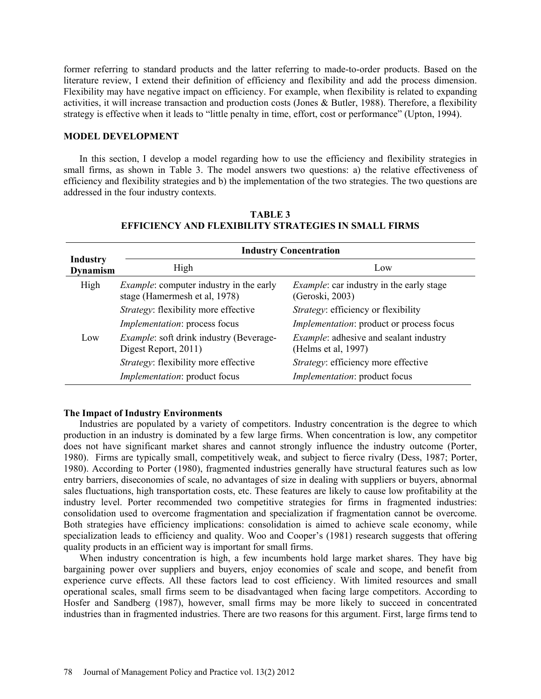former referring to standard products and the latter referring to made-to-order products. Based on the literature review, I extend their definition of efficiency and flexibility and add the process dimension. Flexibility may have negative impact on efficiency. For example, when flexibility is related to expanding activities, it will increase transaction and production costs (Jones & Butler, 1988). Therefore, a flexibility strategy is effective when it leads to "little penalty in time, effort, cost or performance" (Upton, 1994).

### **MODEL DEVELOPMENT**

In this section, I develop a model regarding how to use the efficiency and flexibility strategies in small firms, as shown in Table 3. The model answers two questions: a) the relative effectiveness of efficiency and flexibility strategies and b) the implementation of the two strategies. The two questions are addressed in the four industry contexts.

|                                    | <b>Industry Concentration</b>                                                   |                                                                      |
|------------------------------------|---------------------------------------------------------------------------------|----------------------------------------------------------------------|
| <b>Industry</b><br><b>Dynamism</b> | High                                                                            | Low                                                                  |
| High<br>Low                        | <i>Example:</i> computer industry in the early<br>stage (Hamermesh et al, 1978) | <i>Example:</i> car industry in the early stage<br>(Geroski, 2003)   |
|                                    | Strategy: flexibility more effective                                            | <i>Strategy:</i> efficiency or flexibility                           |
|                                    | <i>Implementation:</i> process focus                                            | <i>Implementation:</i> product or process focus                      |
|                                    | <i>Example:</i> soft drink industry (Beverage-<br>Digest Report, 2011)          | <i>Example:</i> adhesive and sealant industry<br>(Helms et al, 1997) |
|                                    | <i>Strategy:</i> flexibility more effective                                     | Strategy: efficiency more effective                                  |
|                                    | <i>Implementation:</i> product focus                                            | <i>Implementation:</i> product focus                                 |

### **TABLE 3 EFFICIENCY AND FLEXIBILITY STRATEGIES IN SMALL FIRMS**

### **The Impact of Industry Environments**

Industries are populated by a variety of competitors. Industry concentration is the degree to which production in an industry is dominated by a few large firms. When concentration is low, any competitor does not have significant market shares and cannot strongly influence the industry outcome (Porter, 1980). Firms are typically small, competitively weak, and subject to fierce rivalry (Dess, 1987; Porter, 1980). According to Porter (1980), fragmented industries generally have structural features such as low entry barriers, diseconomies of scale, no advantages of size in dealing with suppliers or buyers, abnormal sales fluctuations, high transportation costs, etc. These features are likely to cause low profitability at the industry level. Porter recommended two competitive strategies for firms in fragmented industries: consolidation used to overcome fragmentation and specialization if fragmentation cannot be overcome. Both strategies have efficiency implications: consolidation is aimed to achieve scale economy, while specialization leads to efficiency and quality. Woo and Cooper's (1981) research suggests that offering quality products in an efficient way is important for small firms.

When industry concentration is high, a few incumbents hold large market shares. They have big bargaining power over suppliers and buyers, enjoy economies of scale and scope, and benefit from experience curve effects. All these factors lead to cost efficiency. With limited resources and small operational scales, small firms seem to be disadvantaged when facing large competitors. According to Hosfer and Sandberg (1987), however, small firms may be more likely to succeed in concentrated industries than in fragmented industries. There are two reasons for this argument. First, large firms tend to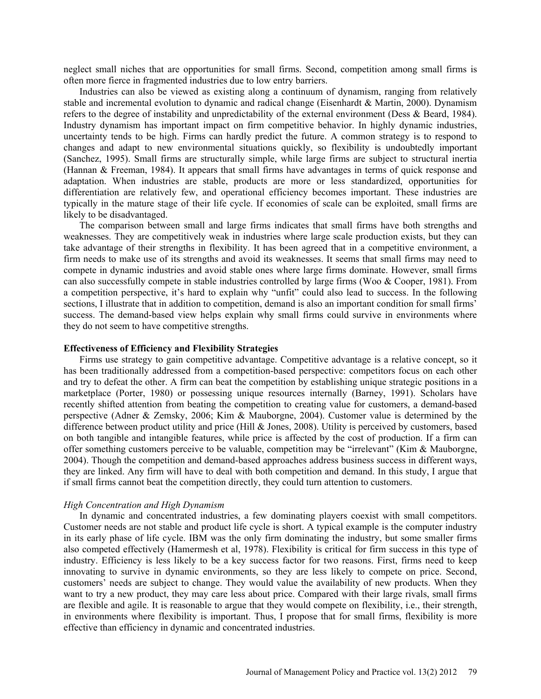neglect small niches that are opportunities for small firms. Second, competition among small firms is often more fierce in fragmented industries due to low entry barriers.

Industries can also be viewed as existing along a continuum of dynamism, ranging from relatively stable and incremental evolution to dynamic and radical change (Eisenhardt & Martin, 2000). Dynamism refers to the degree of instability and unpredictability of the external environment (Dess & Beard, 1984). Industry dynamism has important impact on firm competitive behavior. In highly dynamic industries, uncertainty tends to be high. Firms can hardly predict the future. A common strategy is to respond to changes and adapt to new environmental situations quickly, so flexibility is undoubtedly important (Sanchez, 1995). Small firms are structurally simple, while large firms are subject to structural inertia (Hannan & Freeman, 1984). It appears that small firms have advantages in terms of quick response and adaptation. When industries are stable, products are more or less standardized, opportunities for differentiation are relatively few, and operational efficiency becomes important. These industries are typically in the mature stage of their life cycle. If economies of scale can be exploited, small firms are likely to be disadvantaged.

The comparison between small and large firms indicates that small firms have both strengths and weaknesses. They are competitively weak in industries where large scale production exists, but they can take advantage of their strengths in flexibility. It has been agreed that in a competitive environment, a firm needs to make use of its strengths and avoid its weaknesses. It seems that small firms may need to compete in dynamic industries and avoid stable ones where large firms dominate. However, small firms can also successfully compete in stable industries controlled by large firms (Woo & Cooper, 1981). From a competition perspective, it's hard to explain why "unfit" could also lead to success. In the following sections, I illustrate that in addition to competition, demand is also an important condition for small firms' success. The demand-based view helps explain why small firms could survive in environments where they do not seem to have competitive strengths.

#### **Effectiveness of Efficiency and Flexibility Strategies**

Firms use strategy to gain competitive advantage. Competitive advantage is a relative concept, so it has been traditionally addressed from a competition-based perspective: competitors focus on each other and try to defeat the other. A firm can beat the competition by establishing unique strategic positions in a marketplace (Porter, 1980) or possessing unique resources internally (Barney, 1991). Scholars have recently shifted attention from beating the competition to creating value for customers, a demand-based perspective (Adner & Zemsky, 2006; Kim & Mauborgne, 2004). Customer value is determined by the difference between product utility and price (Hill & Jones, 2008). Utility is perceived by customers, based on both tangible and intangible features, while price is affected by the cost of production. If a firm can offer something customers perceive to be valuable, competition may be "irrelevant" (Kim & Mauborgne, 2004). Though the competition and demand-based approaches address business success in different ways, they are linked. Any firm will have to deal with both competition and demand. In this study, I argue that if small firms cannot beat the competition directly, they could turn attention to customers.

#### *High Concentration and High Dynamism*

In dynamic and concentrated industries, a few dominating players coexist with small competitors. Customer needs are not stable and product life cycle is short. A typical example is the computer industry in its early phase of life cycle. IBM was the only firm dominating the industry, but some smaller firms also competed effectively (Hamermesh et al, 1978). Flexibility is critical for firm success in this type of industry. Efficiency is less likely to be a key success factor for two reasons. First, firms need to keep innovating to survive in dynamic environments, so they are less likely to compete on price. Second, customers' needs are subject to change. They would value the availability of new products. When they want to try a new product, they may care less about price. Compared with their large rivals, small firms are flexible and agile. It is reasonable to argue that they would compete on flexibility, i.e., their strength, in environments where flexibility is important. Thus, I propose that for small firms, flexibility is more effective than efficiency in dynamic and concentrated industries.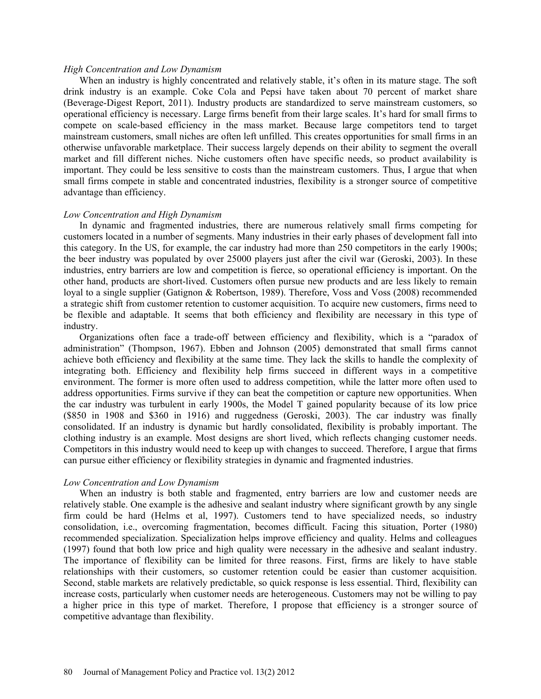#### *High Concentration and Low Dynamism*

When an industry is highly concentrated and relatively stable, it's often in its mature stage. The soft drink industry is an example. Coke Cola and Pepsi have taken about 70 percent of market share (Beverage-Digest Report, 2011). Industry products are standardized to serve mainstream customers, so operational efficiency is necessary. Large firms benefit from their large scales. It's hard for small firms to compete on scale-based efficiency in the mass market. Because large competitors tend to target mainstream customers, small niches are often left unfilled. This creates opportunities for small firms in an otherwise unfavorable marketplace. Their success largely depends on their ability to segment the overall market and fill different niches. Niche customers often have specific needs, so product availability is important. They could be less sensitive to costs than the mainstream customers. Thus, I argue that when small firms compete in stable and concentrated industries, flexibility is a stronger source of competitive advantage than efficiency.

#### *Low Concentration and High Dynamism*

In dynamic and fragmented industries, there are numerous relatively small firms competing for customers located in a number of segments. Many industries in their early phases of development fall into this category. In the US, for example, the car industry had more than 250 competitors in the early 1900s; the beer industry was populated by over 25000 players just after the civil war (Geroski, 2003). In these industries, entry barriers are low and competition is fierce, so operational efficiency is important. On the other hand, products are short-lived. Customers often pursue new products and are less likely to remain loyal to a single supplier (Gatignon & Robertson, 1989). Therefore, Voss and Voss (2008) recommended a strategic shift from customer retention to customer acquisition. To acquire new customers, firms need to be flexible and adaptable. It seems that both efficiency and flexibility are necessary in this type of industry.

Organizations often face a trade-off between efficiency and flexibility, which is a "paradox of administration" (Thompson, 1967). Ebben and Johnson (2005) demonstrated that small firms cannot achieve both efficiency and flexibility at the same time. They lack the skills to handle the complexity of integrating both. Efficiency and flexibility help firms succeed in different ways in a competitive environment. The former is more often used to address competition, while the latter more often used to address opportunities. Firms survive if they can beat the competition or capture new opportunities. When the car industry was turbulent in early 1900s, the Model T gained popularity because of its low price (\$850 in 1908 and \$360 in 1916) and ruggedness (Geroski, 2003). The car industry was finally consolidated. If an industry is dynamic but hardly consolidated, flexibility is probably important. The clothing industry is an example. Most designs are short lived, which reflects changing customer needs. Competitors in this industry would need to keep up with changes to succeed. Therefore, I argue that firms can pursue either efficiency or flexibility strategies in dynamic and fragmented industries.

#### *Low Concentration and Low Dynamism*

When an industry is both stable and fragmented, entry barriers are low and customer needs are relatively stable. One example is the adhesive and sealant industry where significant growth by any single firm could be hard (Helms et al, 1997). Customers tend to have specialized needs, so industry consolidation, i.e., overcoming fragmentation, becomes difficult. Facing this situation, Porter (1980) recommended specialization. Specialization helps improve efficiency and quality. Helms and colleagues (1997) found that both low price and high quality were necessary in the adhesive and sealant industry. The importance of flexibility can be limited for three reasons. First, firms are likely to have stable relationships with their customers, so customer retention could be easier than customer acquisition. Second, stable markets are relatively predictable, so quick response is less essential. Third, flexibility can increase costs, particularly when customer needs are heterogeneous. Customers may not be willing to pay a higher price in this type of market. Therefore, I propose that efficiency is a stronger source of competitive advantage than flexibility.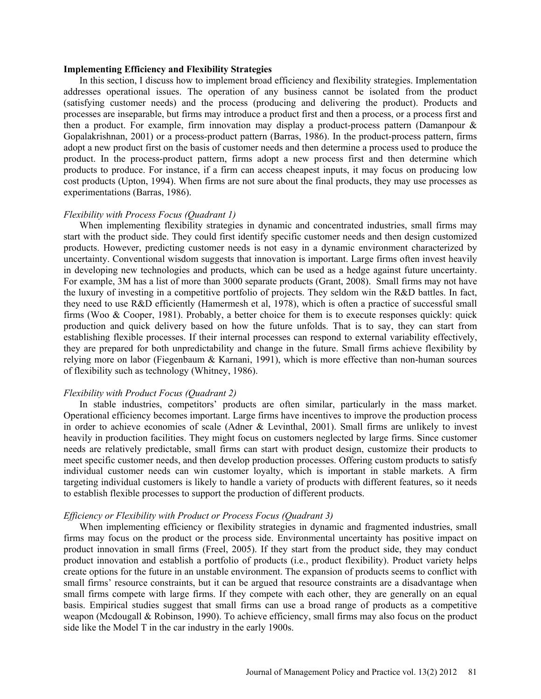#### **Implementing Efficiency and Flexibility Strategies**

In this section, I discuss how to implement broad efficiency and flexibility strategies. Implementation addresses operational issues. The operation of any business cannot be isolated from the product (satisfying customer needs) and the process (producing and delivering the product). Products and processes are inseparable, but firms may introduce a product first and then a process, or a process first and then a product. For example, firm innovation may display a product-process pattern (Damanpour & Gopalakrishnan, 2001) or a process-product pattern (Barras, 1986). In the product-process pattern, firms adopt a new product first on the basis of customer needs and then determine a process used to produce the product. In the process-product pattern, firms adopt a new process first and then determine which products to produce. For instance, if a firm can access cheapest inputs, it may focus on producing low cost products (Upton, 1994). When firms are not sure about the final products, they may use processes as experimentations (Barras, 1986).

#### *Flexibility with Process Focus (Quadrant 1)*

When implementing flexibility strategies in dynamic and concentrated industries, small firms may start with the product side. They could first identify specific customer needs and then design customized products. However, predicting customer needs is not easy in a dynamic environment characterized by uncertainty. Conventional wisdom suggests that innovation is important. Large firms often invest heavily in developing new technologies and products, which can be used as a hedge against future uncertainty. For example, 3M has a list of more than 3000 separate products (Grant, 2008). Small firms may not have the luxury of investing in a competitive portfolio of projects. They seldom win the R&D battles. In fact, they need to use R&D efficiently (Hamermesh et al, 1978), which is often a practice of successful small firms (Woo & Cooper, 1981). Probably, a better choice for them is to execute responses quickly: quick production and quick delivery based on how the future unfolds. That is to say, they can start from establishing flexible processes. If their internal processes can respond to external variability effectively, they are prepared for both unpredictability and change in the future. Small firms achieve flexibility by relying more on labor (Fiegenbaum & Karnani, 1991), which is more effective than non-human sources of flexibility such as technology (Whitney, 1986).

### *Flexibility with Product Focus (Quadrant 2)*

In stable industries, competitors' products are often similar, particularly in the mass market. Operational efficiency becomes important. Large firms have incentives to improve the production process in order to achieve economies of scale (Adner & Levinthal, 2001). Small firms are unlikely to invest heavily in production facilities. They might focus on customers neglected by large firms. Since customer needs are relatively predictable, small firms can start with product design, customize their products to meet specific customer needs, and then develop production processes. Offering custom products to satisfy individual customer needs can win customer loyalty, which is important in stable markets. A firm targeting individual customers is likely to handle a variety of products with different features, so it needs to establish flexible processes to support the production of different products.

#### *Efficiency or Flexibility with Product or Process Focus (Quadrant 3)*

When implementing efficiency or flexibility strategies in dynamic and fragmented industries, small firms may focus on the product or the process side. Environmental uncertainty has positive impact on product innovation in small firms (Freel, 2005). If they start from the product side, they may conduct product innovation and establish a portfolio of products (i.e., product flexibility). Product variety helps create options for the future in an unstable environment. The expansion of products seems to conflict with small firms' resource constraints, but it can be argued that resource constraints are a disadvantage when small firms compete with large firms. If they compete with each other, they are generally on an equal basis. Empirical studies suggest that small firms can use a broad range of products as a competitive weapon (Mcdougall & Robinson, 1990). To achieve efficiency, small firms may also focus on the product side like the Model T in the car industry in the early 1900s.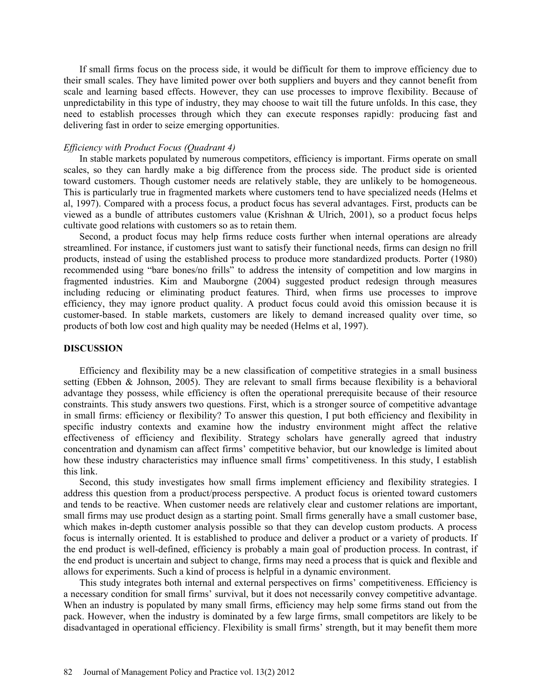If small firms focus on the process side, it would be difficult for them to improve efficiency due to their small scales. They have limited power over both suppliers and buyers and they cannot benefit from scale and learning based effects. However, they can use processes to improve flexibility. Because of unpredictability in this type of industry, they may choose to wait till the future unfolds. In this case, they need to establish processes through which they can execute responses rapidly: producing fast and delivering fast in order to seize emerging opportunities.

### *Efficiency with Product Focus (Quadrant 4)*

In stable markets populated by numerous competitors, efficiency is important. Firms operate on small scales, so they can hardly make a big difference from the process side. The product side is oriented toward customers. Though customer needs are relatively stable, they are unlikely to be homogeneous. This is particularly true in fragmented markets where customers tend to have specialized needs (Helms et al, 1997). Compared with a process focus, a product focus has several advantages. First, products can be viewed as a bundle of attributes customers value (Krishnan & Ulrich, 2001), so a product focus helps cultivate good relations with customers so as to retain them.

Second, a product focus may help firms reduce costs further when internal operations are already streamlined. For instance, if customers just want to satisfy their functional needs, firms can design no frill products, instead of using the established process to produce more standardized products. Porter (1980) recommended using "bare bones/no frills" to address the intensity of competition and low margins in fragmented industries. Kim and Mauborgne (2004) suggested product redesign through measures including reducing or eliminating product features. Third, when firms use processes to improve efficiency, they may ignore product quality. A product focus could avoid this omission because it is customer-based. In stable markets, customers are likely to demand increased quality over time, so products of both low cost and high quality may be needed (Helms et al, 1997).

#### **DISCUSSION**

Efficiency and flexibility may be a new classification of competitive strategies in a small business setting (Ebben & Johnson, 2005). They are relevant to small firms because flexibility is a behavioral advantage they possess, while efficiency is often the operational prerequisite because of their resource constraints. This study answers two questions. First, which is a stronger source of competitive advantage in small firms: efficiency or flexibility? To answer this question, I put both efficiency and flexibility in specific industry contexts and examine how the industry environment might affect the relative effectiveness of efficiency and flexibility. Strategy scholars have generally agreed that industry concentration and dynamism can affect firms' competitive behavior, but our knowledge is limited about how these industry characteristics may influence small firms' competitiveness. In this study, I establish this link.

Second, this study investigates how small firms implement efficiency and flexibility strategies. I address this question from a product/process perspective. A product focus is oriented toward customers and tends to be reactive. When customer needs are relatively clear and customer relations are important, small firms may use product design as a starting point. Small firms generally have a small customer base, which makes in-depth customer analysis possible so that they can develop custom products. A process focus is internally oriented. It is established to produce and deliver a product or a variety of products. If the end product is well-defined, efficiency is probably a main goal of production process. In contrast, if the end product is uncertain and subject to change, firms may need a process that is quick and flexible and allows for experiments. Such a kind of process is helpful in a dynamic environment.

This study integrates both internal and external perspectives on firms' competitiveness. Efficiency is a necessary condition for small firms' survival, but it does not necessarily convey competitive advantage. When an industry is populated by many small firms, efficiency may help some firms stand out from the pack. However, when the industry is dominated by a few large firms, small competitors are likely to be disadvantaged in operational efficiency. Flexibility is small firms' strength, but it may benefit them more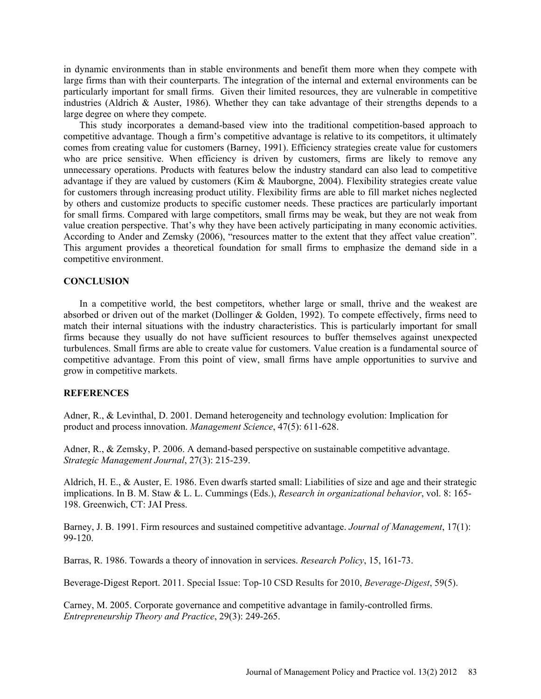in dynamic environments than in stable environments and benefit them more when they compete with large firms than with their counterparts. The integration of the internal and external environments can be particularly important for small firms. Given their limited resources, they are vulnerable in competitive industries (Aldrich & Auster, 1986). Whether they can take advantage of their strengths depends to a large degree on where they compete.

This study incorporates a demand-based view into the traditional competition-based approach to competitive advantage. Though a firm's competitive advantage is relative to its competitors, it ultimately comes from creating value for customers (Barney, 1991). Efficiency strategies create value for customers who are price sensitive. When efficiency is driven by customers, firms are likely to remove any unnecessary operations. Products with features below the industry standard can also lead to competitive advantage if they are valued by customers (Kim & Mauborgne, 2004). Flexibility strategies create value for customers through increasing product utility. Flexibility firms are able to fill market niches neglected by others and customize products to specific customer needs. These practices are particularly important for small firms. Compared with large competitors, small firms may be weak, but they are not weak from value creation perspective. That's why they have been actively participating in many economic activities. According to Ander and Zemsky (2006), "resources matter to the extent that they affect value creation". This argument provides a theoretical foundation for small firms to emphasize the demand side in a competitive environment.

#### **CONCLUSION**

In a competitive world, the best competitors, whether large or small, thrive and the weakest are absorbed or driven out of the market (Dollinger & Golden, 1992). To compete effectively, firms need to match their internal situations with the industry characteristics. This is particularly important for small firms because they usually do not have sufficient resources to buffer themselves against unexpected turbulences. Small firms are able to create value for customers. Value creation is a fundamental source of competitive advantage. From this point of view, small firms have ample opportunities to survive and grow in competitive markets.

### **REFERENCES**

Adner, R., & Levinthal, D. 2001. Demand heterogeneity and technology evolution: Implication for product and process innovation. *Management Science*, 47(5): 611-628.

Adner, R., & Zemsky, P. 2006. A demand-based perspective on sustainable competitive advantage. *Strategic Management Journal*, 27(3): 215-239.

Aldrich, H. E., & Auster, E. 1986. Even dwarfs started small: Liabilities of size and age and their strategic implications. In B. M. Staw & L. L. Cummings (Eds.), *Research in organizational behavior*, vol. 8: 165- 198. Greenwich, CT: JAI Press.

Barney, J. B. 1991. Firm resources and sustained competitive advantage. *Journal of Management*, 17(1): 99-120.

Barras, R. 1986. Towards a theory of innovation in services. *Research Policy*, 15, 161-73.

Beverage-Digest Report. 2011. Special Issue: Top-10 CSD Results for 2010, *Beverage-Digest*, 59(5).

Carney, M. 2005. Corporate governance and competitive advantage in family-controlled firms. *Entrepreneurship Theory and Practice*, 29(3): 249-265.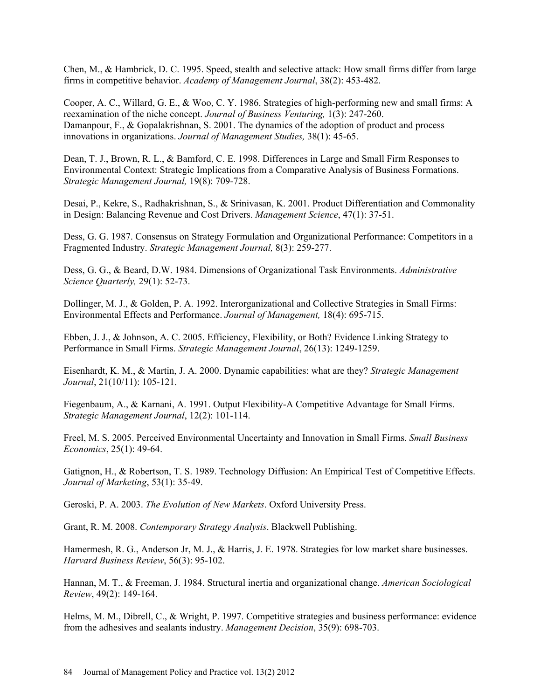Chen, M., & Hambrick, D. C. 1995. Speed, stealth and selective attack: How small firms differ from large firms in competitive behavior. *Academy of Management Journal*, 38(2): 453-482.

Cooper, A. C., Willard, G. E., & Woo, C. Y. 1986. Strategies of high-performing new and small firms: A reexamination of the niche concept. *Journal of Business Venturing,* 1(3): 247-260. Damanpour, F., & Gopalakrishnan, S. 2001. The dynamics of the adoption of product and process innovations in organizations. *Journal of Management Studies,* 38(1): 45-65.

Dean, T. J., Brown, R. L., & Bamford, C. E. 1998. Differences in Large and Small Firm Responses to Environmental Context: Strategic Implications from a Comparative Analysis of Business Formations. *Strategic Management Journal,* 19(8): 709-728.

Desai, P., Kekre, S., Radhakrishnan, S., & Srinivasan, K. 2001. Product Differentiation and Commonality in Design: Balancing Revenue and Cost Drivers. *Management Science*, 47(1): 37-51.

Dess, G. G. 1987. Consensus on Strategy Formulation and Organizational Performance: Competitors in a Fragmented Industry. *Strategic Management Journal,* 8(3): 259-277.

Dess, G. G., & Beard, D.W. 1984. Dimensions of Organizational Task Environments. *Administrative Science Quarterly,* 29(1): 52-73.

Dollinger, M. J., & Golden, P. A. 1992. Interorganizational and Collective Strategies in Small Firms: Environmental Effects and Performance. *Journal of Management,* 18(4): 695-715.

Ebben, J. J., & Johnson, A. C. 2005. Efficiency, Flexibility, or Both? Evidence Linking Strategy to Performance in Small Firms. *Strategic Management Journal*, 26(13): 1249-1259.

Eisenhardt, K. M., & Martin, J. A. 2000. Dynamic capabilities: what are they? *Strategic Management Journal*, 21(10/11): 105-121.

Fiegenbaum, A., & Karnani, A. 1991. Output Flexibility-A Competitive Advantage for Small Firms. *Strategic Management Journal*, 12(2): 101-114.

Freel, M. S. 2005. Perceived Environmental Uncertainty and Innovation in Small Firms. *Small Business Economics*, 25(1): 49-64.

Gatignon, H., & Robertson, T. S. 1989. Technology Diffusion: An Empirical Test of Competitive Effects. *Journal of Marketing*, 53(1): 35-49.

Geroski, P. A. 2003. *The Evolution of New Markets*. Oxford University Press.

Grant, R. M. 2008. *Contemporary Strategy Analysis*. Blackwell Publishing.

Hamermesh, R. G., Anderson Jr, M. J., & Harris, J. E. 1978. Strategies for low market share businesses. *Harvard Business Review*, 56(3): 95-102.

Hannan, M. T., & Freeman, J. 1984. Structural inertia and organizational change. *American Sociological Review*, 49(2): 149-164.

Helms, M. M., Dibrell, C., & Wright, P. 1997. Competitive strategies and business performance: evidence from the adhesives and sealants industry. *Management Decision*, 35(9): 698-703.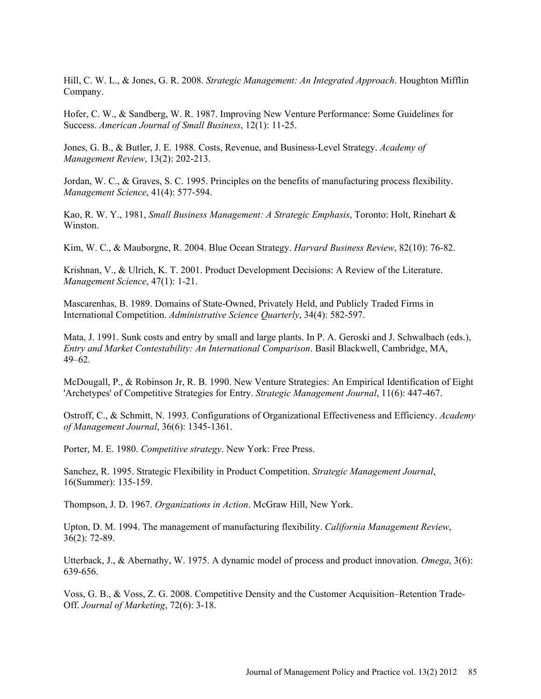Hill, C. W. L., & Jones, G. R. 2008. *Strategic Management: An Integrated Approach*. Houghton Mifflin Company.

Hofer, C. W., & Sandberg, W. R. 1987. Improving New Venture Performance: Some Guidelines for Success. *American Journal of Small Business*, 12(1): 11-25.

Jones, G. B., & Butler, J. E. 1988. Costs, Revenue, and Business-Level Strategy. *Academy of Management Review*, 13(2): 202-213.

Jordan, W. C., & Graves, S. C. 1995. Principles on the benefits of manufacturing process flexibility. *Management Science*, 41(4): 577-594.

Kao, R. W. Y., 1981, *Small Business Management: A Strategic Emphasis*, Toronto: Holt, Rinehart & Winston.

Kim, W. C., & Mauborgne, R. 2004. Blue Ocean Strategy. *Harvard Business Review*, 82(10): 76-82.

Krishnan, V., & Ulrich, K. T. 2001. Product Development Decisions: A Review of the Literature. *Management Science*, 47(1): 1-21.

Mascarenhas, B. 1989. Domains of State-Owned, Privately Held, and Publicly Traded Firms in International Competition. *Administrative Science Quarterly*, 34(4): 582-597.

Mata, J. 1991. Sunk costs and entry by small and large plants. In P. A. Geroski and J. Schwalbach (eds.), *Entry and Market Contestability: An International Comparison*. Basil Blackwell, Cambridge, MA, 49–62.

McDougall, P., & Robinson Jr, R. B. 1990. New Venture Strategies: An Empirical Identification of Eight 'Archetypes' of Competitive Strategies for Entry. *Strategic Management Journal*, 11(6): 447-467.

Ostroff, C., & Schmitt, N. 1993. Configurations of Organizational Effectiveness and Efficiency. *Academy of Management Journal*, 36(6): 1345-1361.

Porter, M. E. 1980. *Competitive strategy*. New York: Free Press.

Sanchez, R. 1995. Strategic Flexibility in Product Competition. *Strategic Management Journal*, 16(Summer): 135-159.

Thompson, J. D. 1967. *Organizations in Action*. McGraw Hill, New York.

Upton, D. M. 1994. The management of manufacturing flexibility. *California Management Review*, 36(2): 72-89.

Utterback, J., & Abernathy, W. 1975. A dynamic model of process and product innovation. *Omega*, 3(6): 639-656.

Voss, G. B., & Voss, Z. G. 2008. Competitive Density and the Customer Acquisition–Retention Trade-Off. *Journal of Marketing*, 72(6): 3-18.